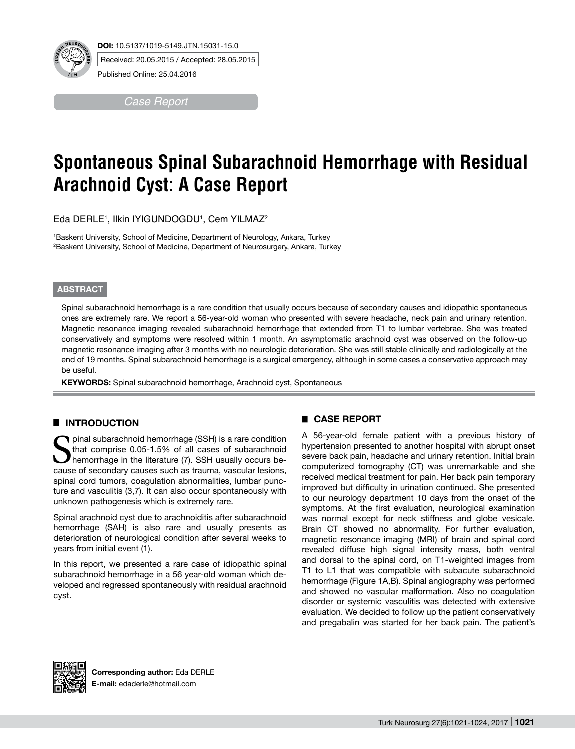

Received: 20.05.2015 / Accepted: 28.05.2015

Published Online: 25.04.2016

*Case Report*

# **Spontaneous Spinal Subarachnoid Hemorrhage with Residual Arachnoid Cyst: A Case Report**

Eda DERLE1 , Ilkin IYIGUNDOGDU1 , Cem YILMAZ2

1 Baskent University, School of Medicine, Department of Neurology, Ankara, Turkey 2 Baskent University, School of Medicine, Department of Neurosurgery, Ankara, Turkey

### **ABSTRACT**

Spinal subarachnoid hemorrhage is a rare condition that usually occurs because of secondary causes and idiopathic spontaneous ones are extremely rare. We report a 56-year-old woman who presented with severe headache, neck pain and urinary retention. Magnetic resonance imaging revealed subarachnoid hemorrhage that extended from T1 to lumbar vertebrae. She was treated conservatively and symptoms were resolved within 1 month. An asymptomatic arachnoid cyst was observed on the follow-up magnetic resonance imaging after 3 months with no neurologic deterioration. She was still stable clinically and radiologically at the end of 19 months. Spinal subarachnoid hemorrhage is a surgical emergency, although in some cases a conservative approach may be useful.

KEYWORDS: Spinal subarachnoid hemorrhage, Arachnoid cyst, Spontaneous

## █ **INTRODUCTION**

I pinal subarachnoid hemorrhage (SSH) is a rare condition that comprise 0.05-1.5% of all cases of subarachnoid hemorrhage in the literature (7). SSH usually occurs because of secondary causes such as trauma, vascular lesions, spinal cord tumors, coagulation abnormalities, lumbar puncture and vasculitis (3,7). It can also occur spontaneously with unknown pathogenesis which is extremely rare.

Spinal arachnoid cyst due to arachnoiditis after subarachnoid hemorrhage (SAH) is also rare and usually presents as deterioration of neurological condition after several weeks to years from initial event (1).

In this report, we presented a rare case of idiopathic spinal subarachnoid hemorrhage in a 56 year-old woman which developed and regressed spontaneously with residual arachnoid cyst.

## █ **CASE REPORT**

A 56-year-old female patient with a previous history of hypertension presented to another hospital with abrupt onset severe back pain, headache and urinary retention. Initial brain computerized tomography (CT) was unremarkable and she received medical treatment for pain. Her back pain temporary improved but difficulty in urination continued. She presented to our neurology department 10 days from the onset of the symptoms. At the first evaluation, neurological examination was normal except for neck stiffness and globe vesicale. Brain CT showed no abnormality. For further evaluation, magnetic resonance imaging (MRI) of brain and spinal cord revealed diffuse high signal intensity mass, both ventral and dorsal to the spinal cord, on T1-weighted images from T1 to L1 that was compatible with subacute subarachnoid hemorrhage (Figure 1A,B). Spinal angiography was performed and showed no vascular malformation. Also no coagulation disorder or systemic vasculitis was detected with extensive evaluation. We decided to follow up the patient conservatively and pregabalin was started for her back pain. The patient's

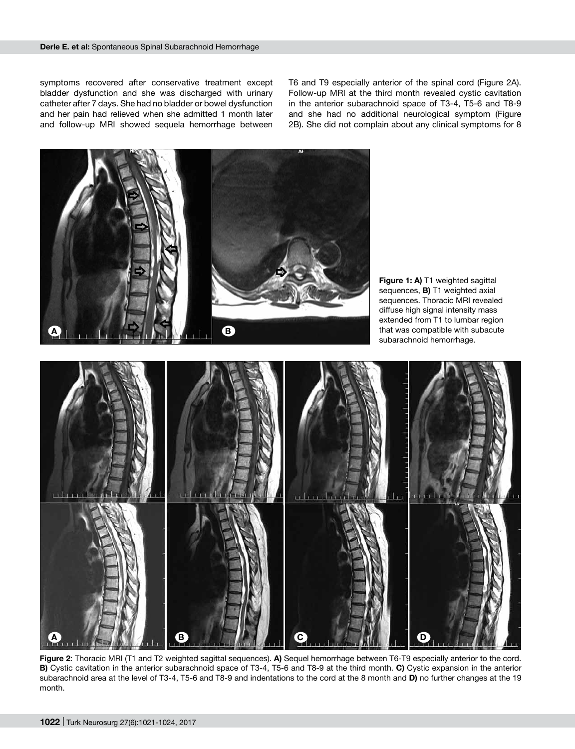symptoms recovered after conservative treatment except bladder dysfunction and she was discharged with urinary catheter after 7 days. She had no bladder or bowel dysfunction and her pain had relieved when she admitted 1 month later and follow-up MRI showed sequela hemorrhage between

T6 and T9 especially anterior of the spinal cord (Figure 2A). Follow-up MRI at the third month revealed cystic cavitation in the anterior subarachnoid space of T3-4, T5-6 and T8-9 and she had no additional neurological symptom (Figure 2B). She did not complain about any clinical symptoms for 8



**Figure 2**: Thoracic MRI (T1 and T2 weighted sagittal sequences). **A)** Sequel hemorrhage between T6-T9 especially anterior to the cord. **B)** Cystic cavitation in the anterior subarachnoid space of T3-4, T5-6 and T8-9 at the third month. **C)** Cystic expansion in the anterior subarachnoid area at the level of T3-4, T5-6 and T8-9 and indentations to the cord at the 8 month and **D)** no further changes at the 19 month.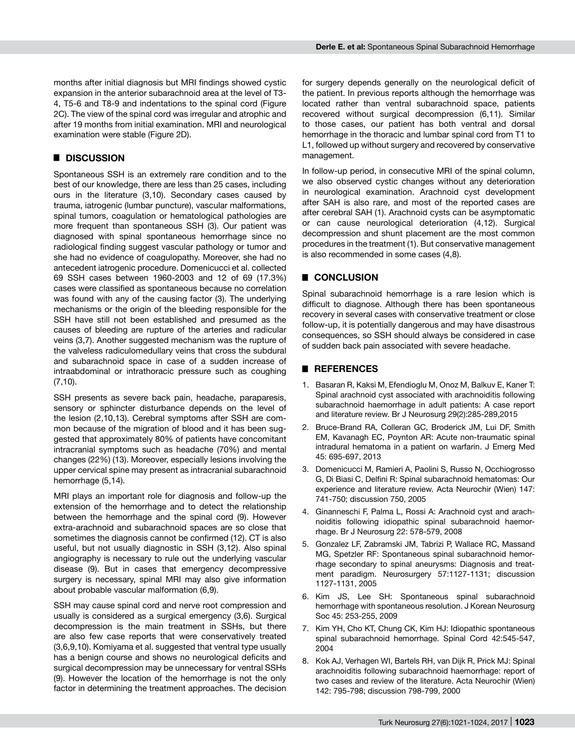months after initial diagnosis but MRI findings showed cystic expansion in the anterior subarachnoid area at the level of T3- 4, T5-6 and T8-9 and indentations to the spinal cord (Figure 2C). The view of the spinal cord was irregular and atrophic and after 19 months from initial examination. MRI and neurological examination were stable (Figure 2D).

## █ **DISCUSSION**

Spontaneous SSH is an extremely rare condition and to the best of our knowledge, there are less than 25 cases, including ours in the literature (3,10). Secondary cases caused by trauma, iatrogenic (lumbar puncture), vascular malformations, spinal tumors, coagulation or hematological pathologies are more frequent than spontaneous SSH (3). Our patient was diagnosed with spinal spontaneous hemorrhage since no radiological finding suggest vascular pathology or tumor and she had no evidence of coagulopathy. Moreover, she had no antecedent iatrogenic procedure. Domenicucci et al. collected 69 SSH cases between 1960-2003 and 12 of 69 (17.3%) cases were classified as spontaneous because no correlation was found with any of the causing factor (3). The underlying mechanisms or the origin of the bleeding responsible for the SSH have still not been established and presumed as the causes of bleeding are rupture of the arteries and radicular veins (3,7). Another suggested mechanism was the rupture of the valveless radiculomedullary veins that cross the subdural and subarachnoid space in case of a sudden increase of intraabdominal or intrathoracic pressure such as coughing (7,10).

SSH presents as severe back pain, headache, paraparesis, sensory or sphincter disturbance depends on the level of the lesion (2,10,13). Cerebral symptoms after SSH are common because of the migration of blood and it has been suggested that approximately 80% of patients have concomitant intracranial symptoms such as headache (70%) and mental changes (22%) (13). Moreover, especially lesions involving the upper cervical spine may present as intracranial subarachnoid hemorrhage (5,14).

MRI plays an important role for diagnosis and follow-up the extension of the hemorrhage and to detect the relationship between the hemorrhage and the spinal cord (9). However extra-arachnoid and subarachnoid spaces are so close that sometimes the diagnosis cannot be confirmed (12). CT is also useful, but not usually diagnostic in SSH (3,12). Also spinal angiography is necessary to rule out the underlying vascular disease (9). But in cases that emergency decompressive surgery is necessary, spinal MRI may also give information about probable vascular malformation (6,9).

SSH may cause spinal cord and nerve root compression and usually is considered as a surgical emergency (3,6). Surgical decompression is the main treatment in SSHs, but there are also few case reports that were conservatively treated (3,6,9,10). Komiyama et al. suggested that ventral type usually has a benign course and shows no neurological deficits and surgical decompression may be unnecessary for ventral SSHs (9). However the location of the hemorrhage is not the only factor in determining the treatment approaches. The decision

for surgery depends generally on the neurological deficit of the patient. In previous reports although the hemorrhage was located rather than ventral subarachnoid space, patients recovered without surgical decompression (6,11). Similar to those cases, our patient has both ventral and dorsal hemorrhage in the thoracic and lumbar spinal cord from T1 to L1, followed up without surgery and recovered by conservative management.

In follow-up period, in consecutive MRI of the spinal column, we also observed cystic changes without any deterioration in neurological examination. Arachnoid cyst development after SAH is also rare, and most of the reported cases are after cerebral SAH (1). Arachnoid cysts can be asymptomatic or can cause neurological deterioration (4,12). Surgical decompression and shunt placement are the most common procedures in the treatment (1). But conservative management is also recommended in some cases (4,8).

## █ **CONCLUSION**

Spinal subarachnoid hemorrhage is a rare lesion which is difficult to diagnose. Although there has been spontaneous recovery in several cases with conservative treatment or close follow-up, it is potentially dangerous and may have disastrous consequences, so SSH should always be considered in case of sudden back pain associated with severe headache.

#### █ **REFERENCES**

- 1. Basaran R, Kaksi M, Efendioglu M, Onoz M, Balkuv E, Kaner T: Spinal arachnoid cyst associated with arachnoiditis following subarachnoid haemorrhage in adult patients: A case report and literature review. Br J Neurosurg 29(2):285-289,2015
- 2. Bruce-Brand RA, Colleran GC, Broderick JM, Lui DF, Smith EM, Kavanagh EC, Poynton AR: Acute non-traumatic spinal intradural hematoma in a patient on warfarin. J Emerg Med 45: 695-697, 2013
- 3. Domenicucci M, Ramieri A, Paolini S, Russo N, Occhiogrosso G, Di Biasi C, Delfini R: Spinal subarachnoid hematomas: Our experience and literature review. Acta Neurochir (Wien) 147: 741-750; discussion 750, 2005
- 4. Ginanneschi F, Palma L, Rossi A: Arachnoid cyst and arachnoiditis following idiopathic spinal subarachnoid haemorrhage. Br J Neurosurg 22: 578-579, 2008
- 5. Gonzalez LF, Zabramski JM, Tabrizi P, Wallace RC, Massand MG, Spetzler RF: Spontaneous spinal subarachnoid hemorrhage secondary to spinal aneurysms: Diagnosis and treatment paradigm. Neurosurgery 57:1127-1131; discussion 1127-1131, 2005
- 6. Kim JS, Lee SH: Spontaneous spinal subarachnoid hemorrhage with spontaneous resolution. J Korean Neurosurg Soc 45: 253-255, 2009
- 7. Kim YH, Cho KT, Chung CK, Kim HJ: Idiopathic spontaneous spinal subarachnoid hemorrhage. Spinal Cord 42:545-547, 2004
- 8. Kok AJ, Verhagen WI, Bartels RH, van Dijk R, Prick MJ: Spinal arachnoiditis following subarachnoid haemorrhage: report of two cases and review of the literature. Acta Neurochir (Wien) 142: 795-798; discussion 798-799, 2000